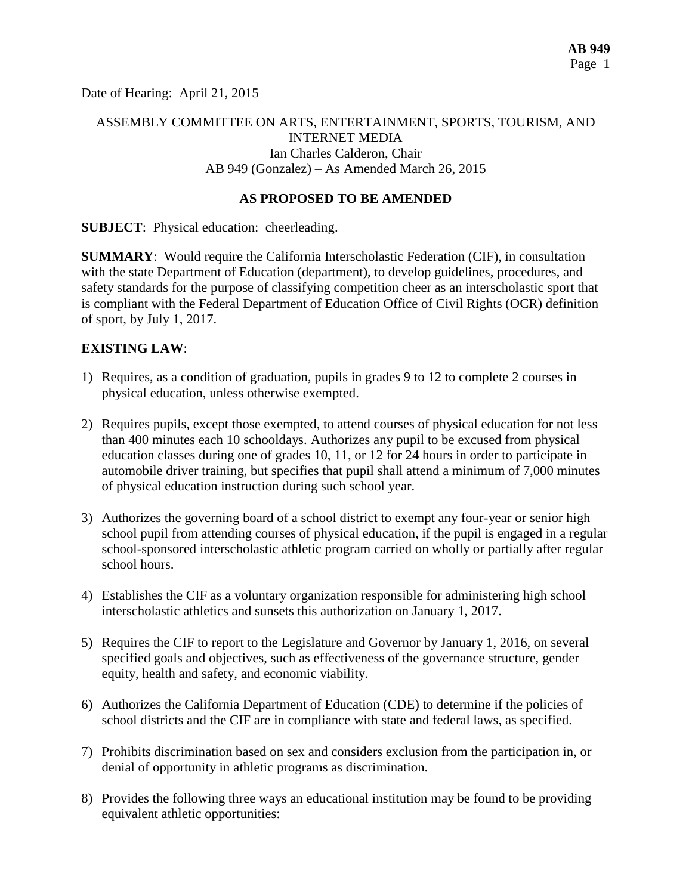Date of Hearing: April 21, 2015

# ASSEMBLY COMMITTEE ON ARTS, ENTERTAINMENT, SPORTS, TOURISM, AND INTERNET MEDIA Ian Charles Calderon, Chair AB 949 (Gonzalez) – As Amended March 26, 2015

## **AS PROPOSED TO BE AMENDED**

**SUBJECT**: Physical education: cheerleading.

**SUMMARY**: Would require the California Interscholastic Federation (CIF), in consultation with the state Department of Education (department), to develop guidelines, procedures, and safety standards for the purpose of classifying competition cheer as an interscholastic sport that is compliant with the Federal Department of Education Office of Civil Rights (OCR) definition of sport, by July 1, 2017.

## **EXISTING LAW**:

- 1) Requires, as a condition of graduation, pupils in grades 9 to 12 to complete 2 courses in physical education, unless otherwise exempted.
- 2) Requires pupils, except those exempted, to attend courses of physical education for not less than 400 minutes each 10 schooldays. Authorizes any pupil to be excused from physical education classes during one of grades 10, 11, or 12 for 24 hours in order to participate in automobile driver training, but specifies that pupil shall attend a minimum of 7,000 minutes of physical education instruction during such school year.
- 3) Authorizes the governing board of a school district to exempt any four-year or senior high school pupil from attending courses of physical education, if the pupil is engaged in a regular school-sponsored interscholastic athletic program carried on wholly or partially after regular school hours.
- 4) Establishes the CIF as a voluntary organization responsible for administering high school interscholastic athletics and sunsets this authorization on January 1, 2017.
- 5) Requires the CIF to report to the Legislature and Governor by January 1, 2016, on several specified goals and objectives, such as effectiveness of the governance structure, gender equity, health and safety, and economic viability.
- 6) Authorizes the California Department of Education (CDE) to determine if the policies of school districts and the CIF are in compliance with state and federal laws, as specified.
- 7) Prohibits discrimination based on sex and considers exclusion from the participation in, or denial of opportunity in athletic programs as discrimination.
- 8) Provides the following three ways an educational institution may be found to be providing equivalent athletic opportunities: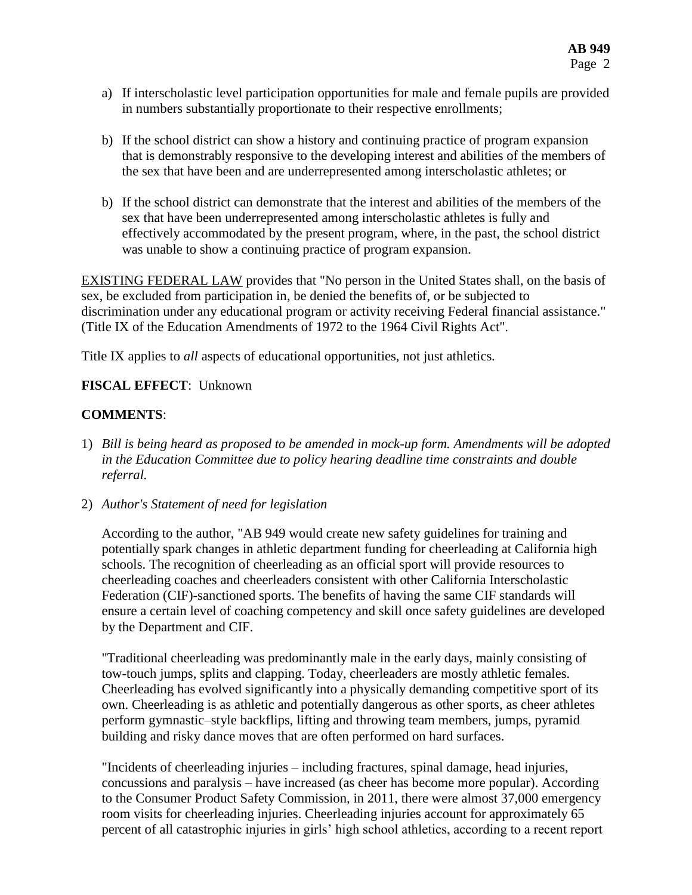- a) If interscholastic level participation opportunities for male and female pupils are provided in numbers substantially proportionate to their respective enrollments;
- b) If the school district can show a history and continuing practice of program expansion that is demonstrably responsive to the developing interest and abilities of the members of the sex that have been and are underrepresented among interscholastic athletes; or
- b) If the school district can demonstrate that the interest and abilities of the members of the sex that have been underrepresented among interscholastic athletes is fully and effectively accommodated by the present program, where, in the past, the school district was unable to show a continuing practice of program expansion.

EXISTING FEDERAL LAW provides that "No person in the United States shall, on the basis of sex, be excluded from participation in, be denied the benefits of, or be subjected to discrimination under any educational program or activity receiving Federal financial assistance." (Title IX of the Education Amendments of 1972 to the 1964 Civil Rights Act".

Title IX applies to *all* aspects of educational opportunities, not just athletics.

## **FISCAL EFFECT**: Unknown

## **COMMENTS**:

1) *Bill is being heard as proposed to be amended in mock-up form. Amendments will be adopted in the Education Committee due to policy hearing deadline time constraints and double referral.*

2) *Author's Statement of need for legislation*

According to the author, "AB 949 would create new safety guidelines for training and potentially spark changes in athletic department funding for cheerleading at California high schools. The recognition of cheerleading as an official sport will provide resources to cheerleading coaches and cheerleaders consistent with other California Interscholastic Federation (CIF)-sanctioned sports. The benefits of having the same CIF standards will ensure a certain level of coaching competency and skill once safety guidelines are developed by the Department and CIF.

"Traditional cheerleading was predominantly male in the early days, mainly consisting of tow-touch jumps, splits and clapping. Today, cheerleaders are mostly athletic females. Cheerleading has evolved significantly into a physically demanding competitive sport of its own. Cheerleading is as athletic and potentially dangerous as other sports, as cheer athletes perform gymnastic–style backflips, lifting and throwing team members, jumps, pyramid building and risky dance moves that are often performed on hard surfaces.

"Incidents of cheerleading injuries – including fractures, spinal damage, head injuries, concussions and paralysis – have increased (as cheer has become more popular). According to the Consumer Product Safety Commission, in 2011, there were almost 37,000 emergency room visits for cheerleading injuries. Cheerleading injuries account for approximately 65 percent of all catastrophic injuries in girls' high school athletics, according to a recent report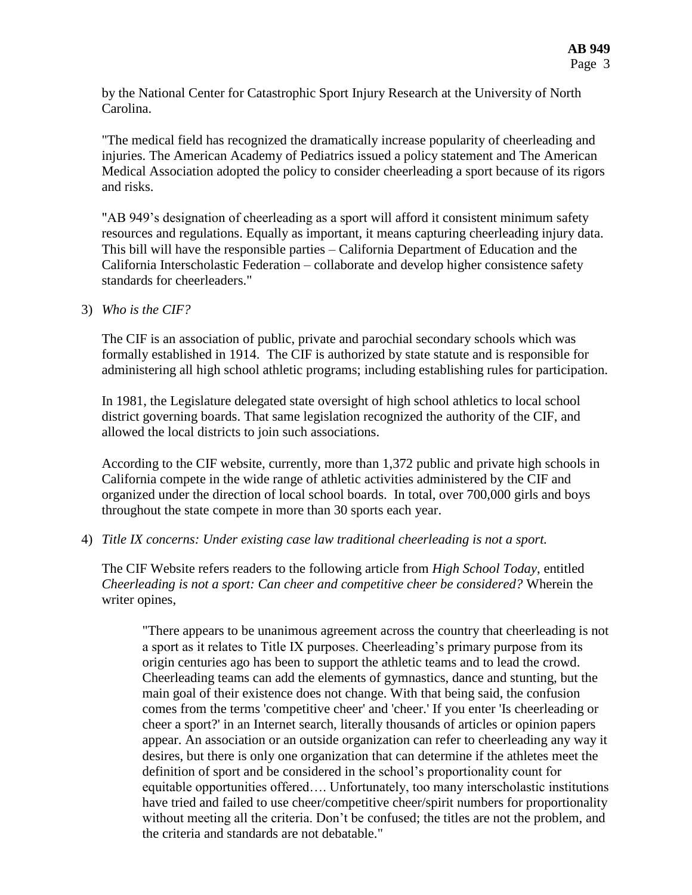by the National Center for Catastrophic Sport Injury Research at the University of North Carolina.

"The medical field has recognized the dramatically increase popularity of cheerleading and injuries. The American Academy of Pediatrics issued a policy statement and The American Medical Association adopted the policy to consider cheerleading a sport because of its rigors and risks.

"AB 949's designation of cheerleading as a sport will afford it consistent minimum safety resources and regulations. Equally as important, it means capturing cheerleading injury data. This bill will have the responsible parties – California Department of Education and the California Interscholastic Federation – collaborate and develop higher consistence safety standards for cheerleaders."

3) *Who is the CIF?*

The CIF is an association of public, private and parochial secondary schools which was formally established in 1914. The CIF is authorized by state statute and is responsible for administering all high school athletic programs; including establishing rules for participation.

In 1981, the Legislature delegated state oversight of high school athletics to local school district governing boards. That same legislation recognized the authority of the CIF, and allowed the local districts to join such associations.

According to the CIF website, currently, more than 1,372 public and private high schools in California compete in the wide range of athletic activities administered by the CIF and organized under the direction of local school boards. In total, over 700,000 girls and boys throughout the state compete in more than 30 sports each year.

4) *Title IX concerns: Under existing case law traditional cheerleading is not a sport.*

The CIF Website refers readers to the following article from *High School Today*, entitled *Cheerleading is not a sport: Can cheer and competitive cheer be considered?* Wherein the writer opines,

"There appears to be unanimous agreement across the country that cheerleading is not a sport as it relates to Title IX purposes. Cheerleading's primary purpose from its origin centuries ago has been to support the athletic teams and to lead the crowd. Cheerleading teams can add the elements of gymnastics, dance and stunting, but the main goal of their existence does not change. With that being said, the confusion comes from the terms 'competitive cheer' and 'cheer.' If you enter 'Is cheerleading or cheer a sport?' in an Internet search, literally thousands of articles or opinion papers appear. An association or an outside organization can refer to cheerleading any way it desires, but there is only one organization that can determine if the athletes meet the definition of sport and be considered in the school's proportionality count for equitable opportunities offered…. Unfortunately, too many interscholastic institutions have tried and failed to use cheer/competitive cheer/spirit numbers for proportionality without meeting all the criteria. Don't be confused; the titles are not the problem, and the criteria and standards are not debatable."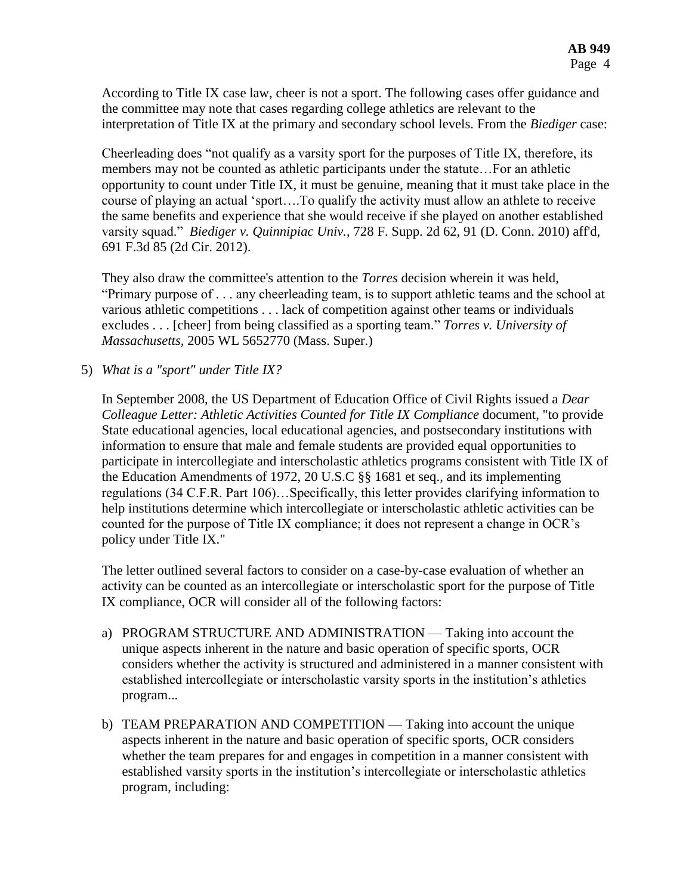According to Title IX case law, cheer is not a sport. The following cases offer guidance and the committee may note that cases regarding college athletics are relevant to the interpretation of Title IX at the primary and secondary school levels. From the *Biediger* case:

Cheerleading does "not qualify as a varsity sport for the purposes of Title IX, therefore, its members may not be counted as athletic participants under the statute…For an athletic opportunity to count under Title IX, it must be genuine, meaning that it must take place in the course of playing an actual 'sport….To qualify the activity must allow an athlete to receive the same benefits and experience that she would receive if she played on another established varsity squad." *Biediger v. Quinnipiac Univ.,* 728 F. Supp. 2d 62, 91 (D. Conn. 2010) aff'd, 691 F.3d 85 (2d Cir. 2012).

They also draw the committee's attention to the *Torres* decision wherein it was held, "Primary purpose of . . . any cheerleading team, is to support athletic teams and the school at various athletic competitions . . . lack of competition against other teams or individuals excludes . . . [cheer] from being classified as a sporting team." *Torres v. University of Massachusetts,* 2005 WL 5652770 (Mass. Super.)

5) *What is a "sport" under Title IX?*

In September 2008, the US Department of Education Office of Civil Rights issued a *Dear Colleague Letter: Athletic Activities Counted for Title IX Compliance* document, "to provide State educational agencies, local educational agencies, and postsecondary institutions with information to ensure that male and female students are provided equal opportunities to participate in intercollegiate and interscholastic athletics programs consistent with Title IX of the Education Amendments of 1972, 20 U.S.C §§ 1681 et seq., and its implementing regulations (34 C.F.R. Part 106)…Specifically, this letter provides clarifying information to help institutions determine which intercollegiate or interscholastic athletic activities can be counted for the purpose of Title IX compliance; it does not represent a change in OCR's policy under Title IX."

The letter outlined several factors to consider on a case-by-case evaluation of whether an activity can be counted as an intercollegiate or interscholastic sport for the purpose of Title IX compliance, OCR will consider all of the following factors:

- a) PROGRAM STRUCTURE AND ADMINISTRATION Taking into account the unique aspects inherent in the nature and basic operation of specific sports, OCR considers whether the activity is structured and administered in a manner consistent with established intercollegiate or interscholastic varsity sports in the institution's athletics program...
- b) TEAM PREPARATION AND COMPETITION Taking into account the unique aspects inherent in the nature and basic operation of specific sports, OCR considers whether the team prepares for and engages in competition in a manner consistent with established varsity sports in the institution's intercollegiate or interscholastic athletics program, including: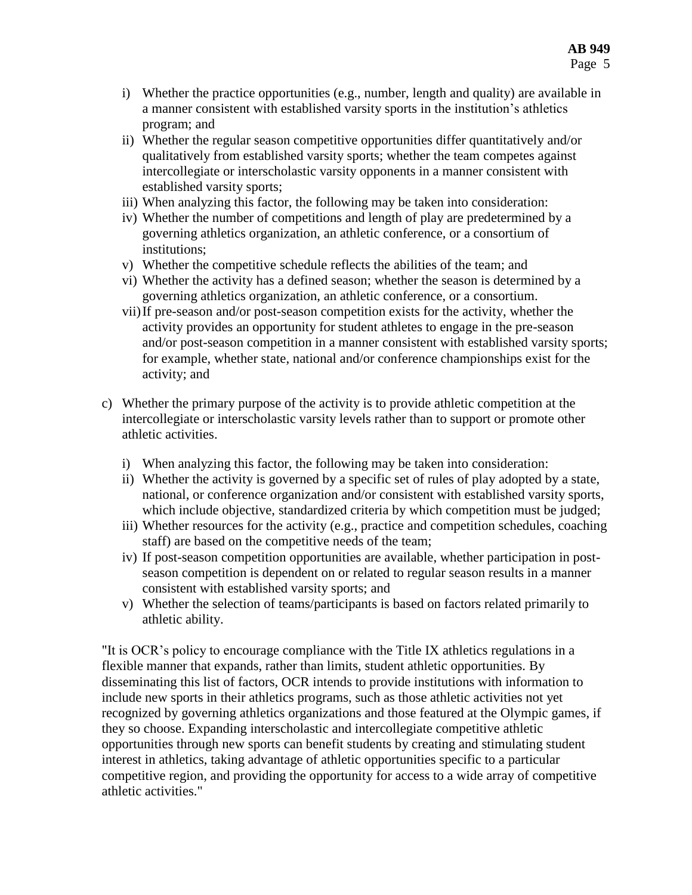- i) Whether the practice opportunities (e.g., number, length and quality) are available in a manner consistent with established varsity sports in the institution's athletics program; and
- ii) Whether the regular season competitive opportunities differ quantitatively and/or qualitatively from established varsity sports; whether the team competes against intercollegiate or interscholastic varsity opponents in a manner consistent with established varsity sports;
- iii) When analyzing this factor, the following may be taken into consideration:
- iv) Whether the number of competitions and length of play are predetermined by a governing athletics organization, an athletic conference, or a consortium of institutions;
- v) Whether the competitive schedule reflects the abilities of the team; and
- vi) Whether the activity has a defined season; whether the season is determined by a governing athletics organization, an athletic conference, or a consortium.
- vii)If pre-season and/or post-season competition exists for the activity, whether the activity provides an opportunity for student athletes to engage in the pre-season and/or post-season competition in a manner consistent with established varsity sports; for example, whether state, national and/or conference championships exist for the activity; and
- c) Whether the primary purpose of the activity is to provide athletic competition at the intercollegiate or interscholastic varsity levels rather than to support or promote other athletic activities.
	- i) When analyzing this factor, the following may be taken into consideration:
	- ii) Whether the activity is governed by a specific set of rules of play adopted by a state, national, or conference organization and/or consistent with established varsity sports, which include objective, standardized criteria by which competition must be judged;
	- iii) Whether resources for the activity (e.g., practice and competition schedules, coaching staff) are based on the competitive needs of the team;
	- iv) If post-season competition opportunities are available, whether participation in postseason competition is dependent on or related to regular season results in a manner consistent with established varsity sports; and
	- v) Whether the selection of teams/participants is based on factors related primarily to athletic ability.

"It is OCR's policy to encourage compliance with the Title IX athletics regulations in a flexible manner that expands, rather than limits, student athletic opportunities. By disseminating this list of factors, OCR intends to provide institutions with information to include new sports in their athletics programs, such as those athletic activities not yet recognized by governing athletics organizations and those featured at the Olympic games, if they so choose. Expanding interscholastic and intercollegiate competitive athletic opportunities through new sports can benefit students by creating and stimulating student interest in athletics, taking advantage of athletic opportunities specific to a particular competitive region, and providing the opportunity for access to a wide array of competitive athletic activities."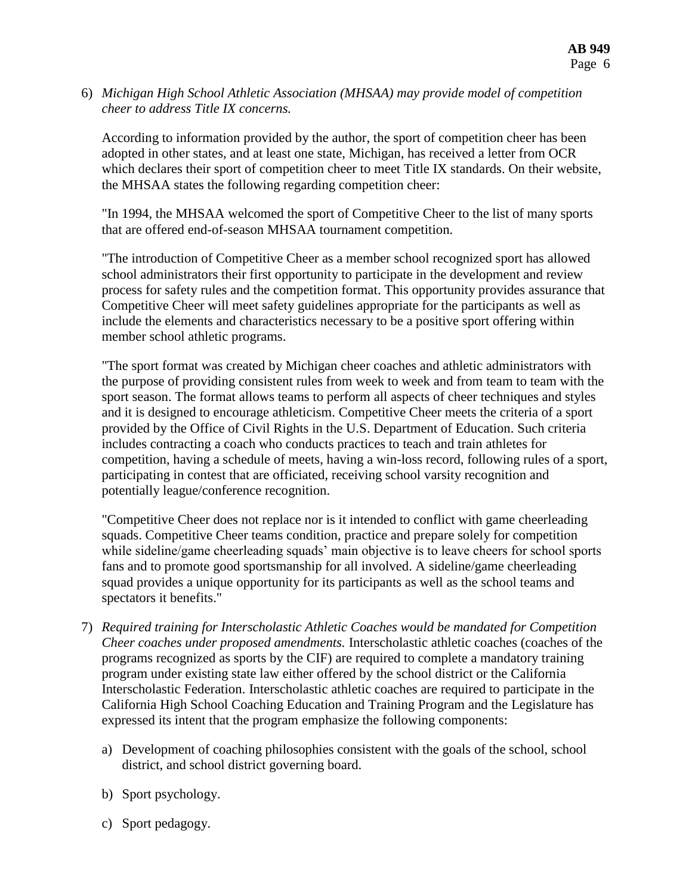6) *Michigan High School Athletic Association (MHSAA) may provide model of competition cheer to address Title IX concerns.*

According to information provided by the author, the sport of competition cheer has been adopted in other states, and at least one state, Michigan, has received a letter from OCR which declares their sport of competition cheer to meet Title IX standards. On their website, the MHSAA states the following regarding competition cheer:

"In 1994, the MHSAA welcomed the sport of Competitive Cheer to the list of many sports that are offered end-of-season MHSAA tournament competition.

"The introduction of Competitive Cheer as a member school recognized sport has allowed school administrators their first opportunity to participate in the development and review process for safety rules and the competition format. This opportunity provides assurance that Competitive Cheer will meet safety guidelines appropriate for the participants as well as include the elements and characteristics necessary to be a positive sport offering within member school athletic programs.

"The sport format was created by Michigan cheer coaches and athletic administrators with the purpose of providing consistent rules from week to week and from team to team with the sport season. The format allows teams to perform all aspects of cheer techniques and styles and it is designed to encourage athleticism. Competitive Cheer meets the criteria of a sport provided by the Office of Civil Rights in the U.S. Department of Education. Such criteria includes contracting a coach who conducts practices to teach and train athletes for competition, having a schedule of meets, having a win-loss record, following rules of a sport, participating in contest that are officiated, receiving school varsity recognition and potentially league/conference recognition.

"Competitive Cheer does not replace nor is it intended to conflict with game cheerleading squads. Competitive Cheer teams condition, practice and prepare solely for competition while sideline/game cheerleading squads' main objective is to leave cheers for school sports fans and to promote good sportsmanship for all involved. A sideline/game cheerleading squad provides a unique opportunity for its participants as well as the school teams and spectators it benefits."

- 7) *Required training for Interscholastic Athletic Coaches would be mandated for Competition Cheer coaches under proposed amendments.* Interscholastic athletic coaches (coaches of the programs recognized as sports by the CIF) are required to complete a mandatory training program under existing state law either offered by the school district or the California Interscholastic Federation. Interscholastic athletic coaches are required to participate in the California High School Coaching Education and Training Program and the Legislature has expressed its intent that the program emphasize the following components:
	- a) Development of coaching philosophies consistent with the goals of the school, school district, and school district governing board.
	- b) Sport psychology.
	- c) Sport pedagogy.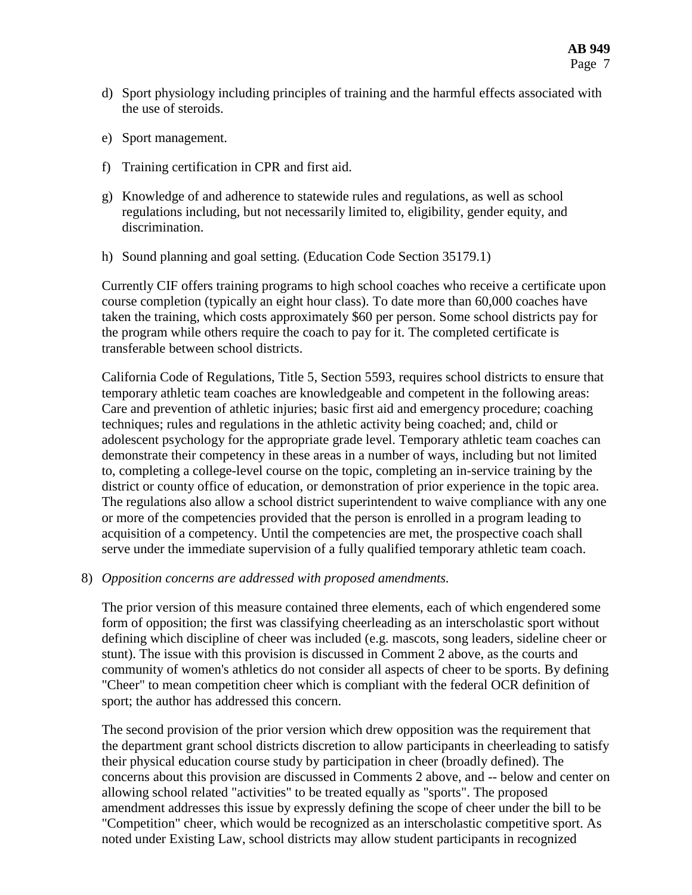- d) Sport physiology including principles of training and the harmful effects associated with the use of steroids.
- e) Sport management.
- f) Training certification in CPR and first aid.
- g) Knowledge of and adherence to statewide rules and regulations, as well as school regulations including, but not necessarily limited to, eligibility, gender equity, and discrimination.
- h) Sound planning and goal setting. (Education Code Section 35179.1)

Currently CIF offers training programs to high school coaches who receive a certificate upon course completion (typically an eight hour class). To date more than 60,000 coaches have taken the training, which costs approximately \$60 per person. Some school districts pay for the program while others require the coach to pay for it. The completed certificate is transferable between school districts.

California Code of Regulations, Title 5, Section 5593, requires school districts to ensure that temporary athletic team coaches are knowledgeable and competent in the following areas: Care and prevention of athletic injuries; basic first aid and emergency procedure; coaching techniques; rules and regulations in the athletic activity being coached; and, child or adolescent psychology for the appropriate grade level. Temporary athletic team coaches can demonstrate their competency in these areas in a number of ways, including but not limited to, completing a college-level course on the topic, completing an in-service training by the district or county office of education, or demonstration of prior experience in the topic area. The regulations also allow a school district superintendent to waive compliance with any one or more of the competencies provided that the person is enrolled in a program leading to acquisition of a competency. Until the competencies are met, the prospective coach shall serve under the immediate supervision of a fully qualified temporary athletic team coach.

8) *Opposition concerns are addressed with proposed amendments.*

The prior version of this measure contained three elements, each of which engendered some form of opposition; the first was classifying cheerleading as an interscholastic sport without defining which discipline of cheer was included (e.g. mascots, song leaders, sideline cheer or stunt). The issue with this provision is discussed in Comment 2 above, as the courts and community of women's athletics do not consider all aspects of cheer to be sports. By defining "Cheer" to mean competition cheer which is compliant with the federal OCR definition of sport; the author has addressed this concern.

The second provision of the prior version which drew opposition was the requirement that the department grant school districts discretion to allow participants in cheerleading to satisfy their physical education course study by participation in cheer (broadly defined). The concerns about this provision are discussed in Comments 2 above, and -- below and center on allowing school related "activities" to be treated equally as "sports". The proposed amendment addresses this issue by expressly defining the scope of cheer under the bill to be "Competition" cheer, which would be recognized as an interscholastic competitive sport. As noted under Existing Law, school districts may allow student participants in recognized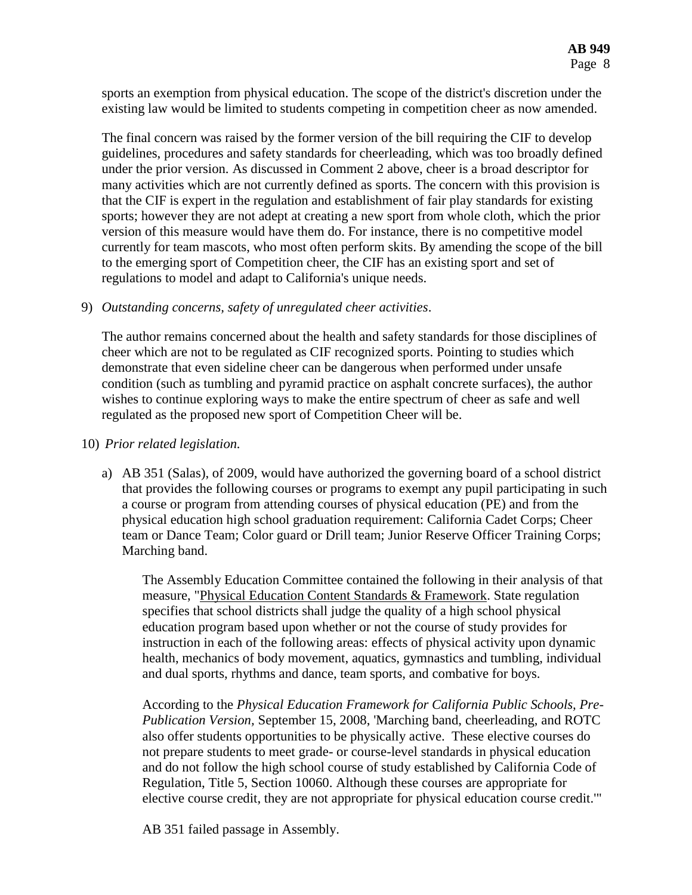sports an exemption from physical education. The scope of the district's discretion under the existing law would be limited to students competing in competition cheer as now amended.

The final concern was raised by the former version of the bill requiring the CIF to develop guidelines, procedures and safety standards for cheerleading, which was too broadly defined under the prior version. As discussed in Comment 2 above, cheer is a broad descriptor for many activities which are not currently defined as sports. The concern with this provision is that the CIF is expert in the regulation and establishment of fair play standards for existing sports; however they are not adept at creating a new sport from whole cloth, which the prior version of this measure would have them do. For instance, there is no competitive model currently for team mascots, who most often perform skits. By amending the scope of the bill to the emerging sport of Competition cheer, the CIF has an existing sport and set of regulations to model and adapt to California's unique needs.

#### 9) *Outstanding concerns, safety of unregulated cheer activities*.

The author remains concerned about the health and safety standards for those disciplines of cheer which are not to be regulated as CIF recognized sports. Pointing to studies which demonstrate that even sideline cheer can be dangerous when performed under unsafe condition (such as tumbling and pyramid practice on asphalt concrete surfaces), the author wishes to continue exploring ways to make the entire spectrum of cheer as safe and well regulated as the proposed new sport of Competition Cheer will be.

#### 10) *Prior related legislation.*

a) AB 351 (Salas), of 2009, would have authorized the governing board of a school district that provides the following courses or programs to exempt any pupil participating in such a course or program from attending courses of physical education (PE) and from the physical education high school graduation requirement: California Cadet Corps; Cheer team or Dance Team; Color guard or Drill team; Junior Reserve Officer Training Corps; Marching band.

The Assembly Education Committee contained the following in their analysis of that measure, "Physical Education Content Standards & Framework. State regulation specifies that school districts shall judge the quality of a high school physical education program based upon whether or not the course of study provides for instruction in each of the following areas: effects of physical activity upon dynamic health, mechanics of body movement, aquatics, gymnastics and tumbling, individual and dual sports, rhythms and dance, team sports, and combative for boys.

According to the *Physical Education Framework for California Public Schools, Pre-Publication Version,* September 15, 2008, 'Marching band, cheerleading, and ROTC also offer students opportunities to be physically active. These elective courses do not prepare students to meet grade- or course-level standards in physical education and do not follow the high school course of study established by California Code of Regulation, Title 5, Section 10060. Although these courses are appropriate for elective course credit, they are not appropriate for physical education course credit.'"

AB 351 failed passage in Assembly.